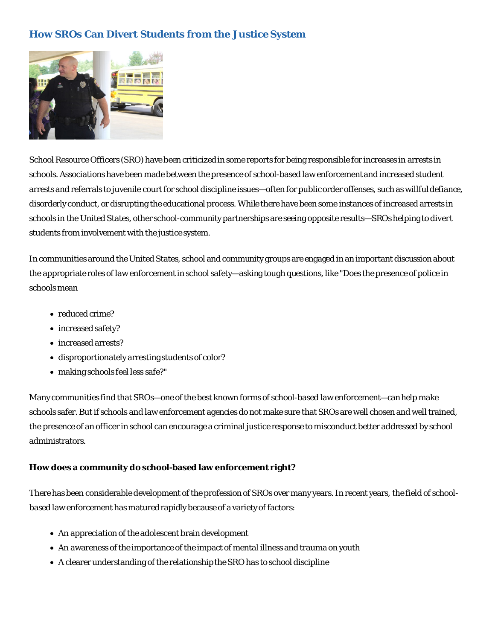# **How SROs Can Divert Students from the Justice System**



School Resource Officers (SRO) have been criticized in some reports for being responsible for increases in arrests in schools. Associations have been made between the presence of school-based law enforcement and increased student arrests and referrals to juvenile court for school discipline issues—often for public order offenses, such as willful defiance, disorderly conduct, or disrupting the educational process. While there have been some instances of increased arrests in schools in the United States, other school-community partnerships are seeing opposite results—SROs helping to *divert* students from involvement with the justice system.

In communities around the United States, school and community groups are engaged in an important discussion about the appropriate roles of law enforcement in school safety—asking tough questions, like "Does the presence of police in schools mean

- reduced crime?
- increased safety?
- increased arrests?
- disproportionately arresting students of color?
- making schools feel less safe?"

Many communities find that SROs—one of the best known forms of school-based law enforcement—can help make schools safer. But if schools and law enforcement agencies do not make sure that SROs are well chosen and well trained, the presence of an officer in school can encourage a criminal justice response to misconduct better addressed by school administrators.

## **How does a community do school-based law enforcement right?**

There has been considerable development of the profession of SROs over many years. In recent years, the field of schoolbased law enforcement has matured rapidly because of a variety of factors:

- An appreciation of the adolescent brain development
- An awareness of the importance of the impact of mental illness and trauma on youth
- A clearer understanding of the relationship the SRO has to school discipline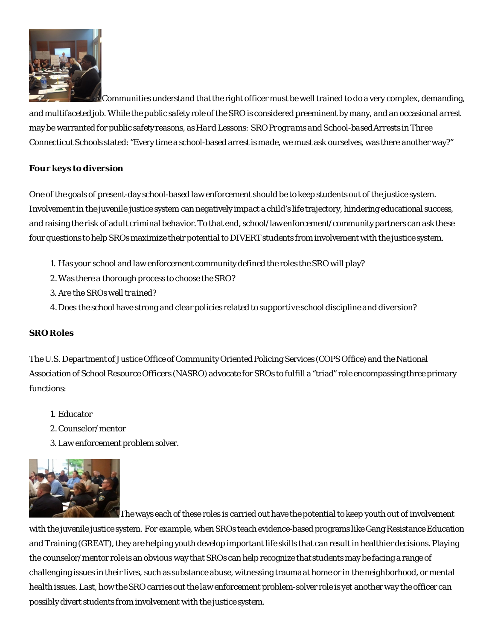

Communities understand that the right officer must be well trained to do a very complex, demanding, and multifaceted job. While the public safety role of the SRO is considered preeminent by many, and an occasional arrest may be warranted for public safety reasons, as *Hard Lessons: SRO Programs and School-based Arrests in Three Connecticut Schools* stated: "Every time a school-based arrest is made, we must ask ourselves, was there another way?"

## **Four keys to diversion**

One of the goals of present-day school-based law enforcement should be to keep students out of the justice system. Involvement in the juvenile justice system can negatively impact a child's life trajectory, hindering educational success, and raising the risk of adult criminal behavior.To that end, school/law enforcement/community partners can ask these four questions to help SROs maximize their potential to DIVERT students from involvement with the justice system.

- 1. Has your school and law enforcement community defined the roles the SRO will play?
- 2.Was there a thorough process to *choose* the SRO?
- 3. Are the SROs well *trained*?
- 4.Does the school have strong and clear *policies* related to *supportive school discipline and diversion*?

## **SRO Roles**

The U.S. Department of Justice Office of Community Oriented Policing Services (COPS Office) and the National Association of School Resource Officers (NASRO) advocate for SROs to fulfill a "triad" role encompassing three primary functions:

- 1. Educator
- 2.Counselor/mentor
- 3. Law enforcement problem solver.



The ways each of these roles is carried out have the potential to keep youth out of involvement

with the juvenile justice system. For example, when SROs teach evidence-based programs like Gang Resistance Education and Training (GREAT), they are helping youth develop important life skills that can result in healthier decisions. Playing the counselor/mentor role is an obvious way that SROs can help recognize that students may be facing a range of challenging issues in their lives, such as substance abuse, witnessing trauma at home or in the neighborhood, or mental health issues. Last, how the SRO carries out the law enforcement problem-solver role is yet another way the officer can possibly divert students from involvement with the justice system.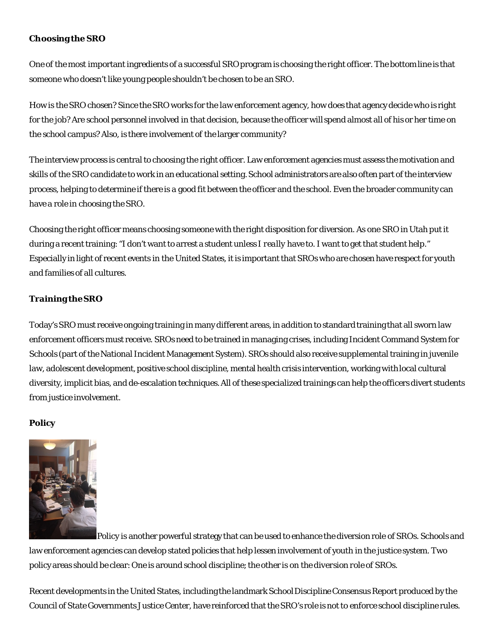# **Choosing the SRO**

One of the most important ingredients of a successful SRO program is choosing the right officer. The bottom line is that someone who doesn't like young people shouldn't be chosen to be an SRO.

How is the SRO chosen? Since the SRO works for the law enforcement agency, how does that agency decide who is right for the job? Are school personnel involved in that decision, because the officer will spend almost all of his or her time on the school campus? Also, is there involvement of the larger community?

The interview process is central to choosing the right officer. Law enforcement agencies must assess the motivation and skills of the SRO candidate to work in an educational setting. School administrators are also often part of the interview process, helping to determine if there is a good fit between the officer and the school. Even the broader community can have a role in choosing the SRO.

Choosing the right officer means choosing someone with the right disposition for diversion. As one SRO in Utah put it during a recent training: "I don't want to arrest a student unless I *really* have to. I want to get that student help." Especially in light of recent events in the United States, it is important that SROs who are chosen have respect for youth and families of all cultures.

## **Training the SRO**

Today's SRO must receive ongoing training in many different areas, in addition to standard training that all sworn law enforcement officers must receive. SROs need to be trained in managing crises, including Incident Command System for Schools (part of the National Incident Management System). SROs should also receive supplemental training in juvenile law, adolescent development, positive school discipline, mental health crisis intervention, working with local cultural diversity, implicit bias, and de-escalation techniques. All of these specialized trainings can help the officers divert students from justice involvement.

## **Policy**



Policy is another powerful strategy that can be used to enhance the diversion role of SROs. Schools and law enforcement agencies can develop stated policies that help lessen involvement of youth in the justice system. Two policy areas should be clear: One is around *school discipline*; the other is on the *diversion role* of SROs.

Recent developments in the United States, including the landmark School Discipline Consensus Report produced by the Council of State Governments Justice Center, have reinforced that the SRO's role is *not* to enforce school discipline rules.